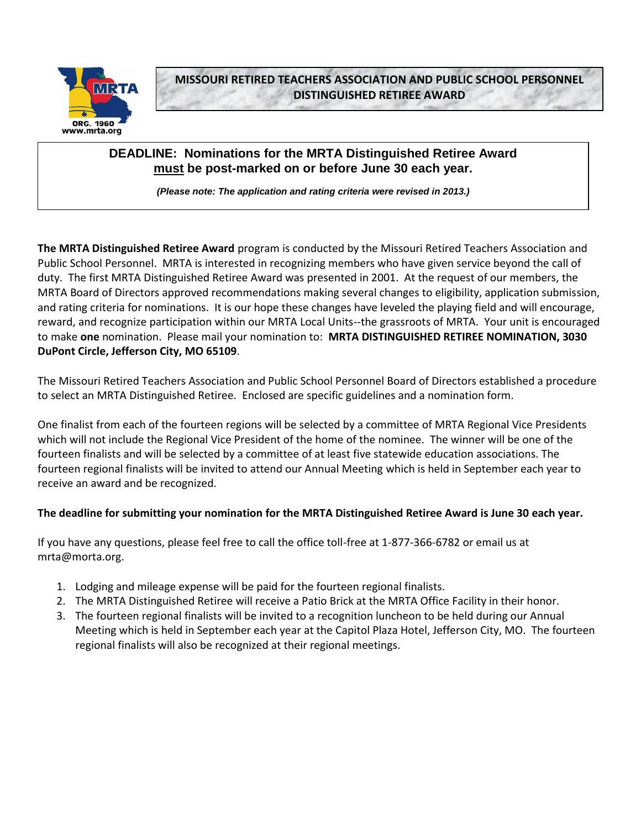

**MISSOURI RETIRED TEACHERS ASSOCIATION AND PUBLIC SCHOOL PERSONNEL DISTINGUISHED RETIREE AWARD**

# **DEADLINE: Nominations for the MRTA Distinguished Retiree Award must be post-marked on or before June 30 each year.**

*(Please note: The application and rating criteria were revised in 2013.)*

**The MRTA Distinguished Retiree Award** program is conducted by the Missouri Retired Teachers Association and Public School Personnel. MRTA is interested in recognizing members who have given service beyond the call of duty. The first MRTA Distinguished Retiree Award was presented in 2001. At the request of our members, the MRTA Board of Directors approved recommendations making several changes to eligibility, application submission, and rating criteria for nominations. It is our hope these changes have leveled the playing field and will encourage, reward, and recognize participation within our MRTA Local Units--the grassroots of MRTA. Your unit is encouraged to make **one** nomination. Please mail your nomination to: **MRTA DISTINGUISHED RETIREE NOMINATION, 3030 DuPont Circle, Jefferson City, MO 65109**.

The Missouri Retired Teachers Association and Public School Personnel Board of Directors established a procedure to select an MRTA Distinguished Retiree. Enclosed are specific guidelines and a nomination form.

One finalist from each of the fourteen regions will be selected by a committee of MRTA Regional Vice Presidents which will not include the Regional Vice President of the home of the nominee. The winner will be one of the fourteen finalists and will be selected by a committee of at least five statewide education associations. The fourteen regional finalists will be invited to attend our Annual Meeting which is held in September each year to receive an award and be recognized.

#### **The deadline for submitting your nomination for the MRTA Distinguished Retiree Award is June 30 each year.**

If you have any questions, please feel free to call the office toll-free at 1-877-366-6782 or email us at mrta@morta.org.

- 1. Lodging and mileage expense will be paid for the fourteen regional finalists.
- 2. The MRTA Distinguished Retiree will receive a Patio Brick at the MRTA Office Facility in their honor.
- 3. The fourteen regional finalists will be invited to a recognition luncheon to be held during our Annual Meeting which is held in September each year at the Capitol Plaza Hotel, Jefferson City, MO. The fourteen regional finalists will also be recognized at their regional meetings.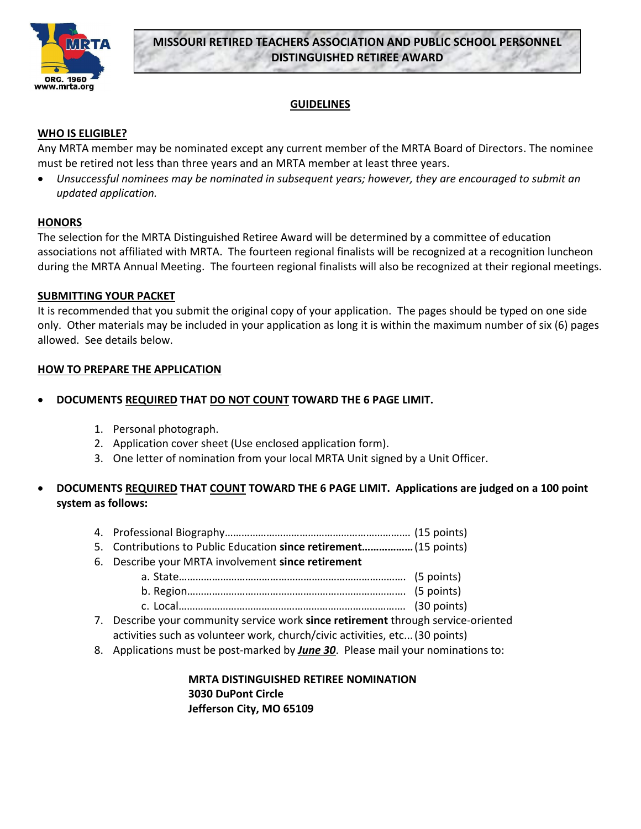

# **MISSOURI RETIRED TEACHERS ASSOCIATION AND PUBLIC SCHOOL PERSONNEL DISTINGUISHED RETIREE AWARD**

### **GUIDELINES**

#### **WHO IS ELIGIBLE?**

Any MRTA member may be nominated except any current member of the MRTA Board of Directors. The nominee must be retired not less than three years and an MRTA member at least three years.

 *Unsuccessful nominees may be nominated in subsequent years; however, they are encouraged to submit an updated application.*

#### **HONORS**

The selection for the MRTA Distinguished Retiree Award will be determined by a committee of education associations not affiliated with MRTA. The fourteen regional finalists will be recognized at a recognition luncheon during the MRTA Annual Meeting. The fourteen regional finalists will also be recognized at their regional meetings.

#### **SUBMITTING YOUR PACKET**

It is recommended that you submit the original copy of your application. The pages should be typed on one side only. Other materials may be included in your application as long it is within the maximum number of six (6) pages allowed. See details below.

#### **HOW TO PREPARE THE APPLICATION**

- **DOCUMENTS REQUIRED THAT DO NOT COUNT TOWARD THE 6 PAGE LIMIT.**
	- 1. Personal photograph.
	- 2. Application cover sheet (Use enclosed application form).
	- 3. One letter of nomination from your local MRTA Unit signed by a Unit Officer.

### **DOCUMENTS REQUIRED THAT COUNT TOWARD THE 6 PAGE LIMIT. Applications are judged on a 100 point system as follows:**

- 4. Professional Biography…………………………………………………………. (15 points)
- 5. Contributions to Public Education **since retirement………………**(15 points)
- 6. Describe your MRTA involvement **since retirement**
	- a. State………………………………………………………………………. (5 points) b. Region……………………………………………………………………. (5 points)
	- c. Local………………………………………………………………………. (30 points)
- 7. Describe your community service work **since retirement** through service-oriented
- activities such as volunteer work, church/civic activities, etc...(30 points)
- 8. Applications must be post-marked by *June 30*. Please mail your nominations to:

**MRTA DISTINGUISHED RETIREE NOMINATION 3030 DuPont Circle Jefferson City, MO 65109**